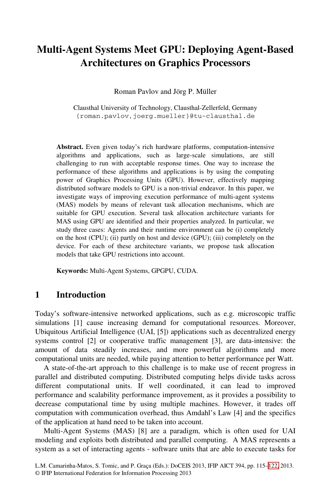# **Multi-Agent Systems Meet GPU: Deploying Agent-Based Architectures on Graphics Processors**

Roman Pavlov and Jörg P. Müller

Clausthal University of Technology, Clausthal-Zellerfeld, Germany {roman.pavlov,joerg.mueller}@tu-clausthal.de

**Abstract.** Even given today's rich hardware platforms, computation-intensive algorithms and applications, such as large-scale simulations, are still challenging to run with acceptable response times. One way to increase the performance of these algorithms and applications is by using the computing power of Graphics Processing Units (GPU). However, effectively mapping distributed software models to GPU is a non-trivial endeavor. In this paper, we investigate ways of improving execution performance of multi-agent systems (MAS) models by means of relevant task allocation mechanisms, which are suitable for GPU execution. Several task allocation architecture variants for MAS using GPU are identified and their properties analyzed. In particular, we study three cases: Agents and their runtime environment can be (i) completely on the host (CPU); (ii) partly on host and device (GPU); (iii) completely on the device. For each of these architecture variants, we propose task allocation models that take GPU restrictions into account.

**Keywords:** Multi-Agent Systems, GPGPU, CUDA.

### **1 Introduction**

Today's software-intensive networked applications, such as e.g. microscopic traffic simulations [1] cause increasing demand for computational resources. Moreover, Ubiquitous Artificial Intelligence (UAI, [5]) applications such as decentralized energy systems control [2] or cooperative traffic management [3], are data-intensive: the amount of data steadily increases, and more powerful algorithms and more computational units are needed, while paying attention to better performance per Watt.

A state-of-the-art approach to this challenge is to make use of recent progress in parallel and distributed computing. Distributed computing helps divide tasks across different computational units. If well coordinated, it can lead to improved performance and scalability performance improvement, [as it](#page-7-0) provides a possibility to decrease computational time by using multiple machines. However, it trades off computation with communication overhead, thus Amdahl's Law [4] and the specifics of the application at hand need to be taken into account.

Multi-Agent Systems (MAS) [8] are a paradigm, which is often used for UAI modeling and exploits both distributed and parallel computing. A MAS represents a system as a set of interacting agents - software units that are able to execute tasks for

L.M. Camarinha-Matos, S. Tomic, and P. Graça (Eds.): DoCEIS 2013, IFIP AICT 394, pp. 115–122, 2013. © IFIP International Federation for Information Processing 2013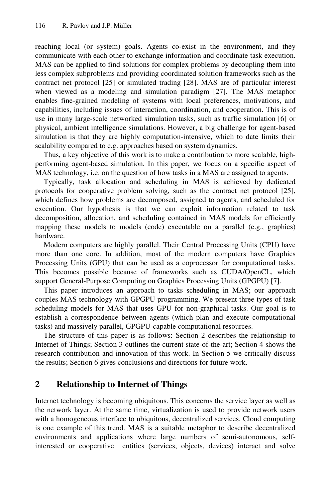reaching local (or system) goals. Agents co-exist in the environment, and they communicate with each other to exchange information and coordinate task execution. MAS can be applied to find solutions for complex problems by decoupling them into less complex subproblems and providing coordinated solution frameworks such as the contract net protocol [25] or simulated trading [28]. MAS are of particular interest when viewed as a modeling and simulation paradigm [27]. The MAS metaphor enables fine-grained modeling of systems with local preferences, motivations, and capabilities, including issues of interaction, coordination, and cooperation. This is of use in many large-scale networked simulation tasks, such as traffic simulation [6] or physical, ambient intelligence simulations. However, a big challenge for agent-based simulation is that they are highly computation-intensive, which to date limits their scalability compared to e.g. approaches based on system dynamics.

Thus, a key objective of this work is to make a contribution to more scalable, highperforming agent-based simulation. In this paper, we focus on a specific aspect of MAS technology, i.e. on the question of how tasks in a MAS are assigned to agents.

Typically, task allocation and scheduling in MAS is achieved by dedicated protocols for cooperative problem solving, such as the contract net protocol [25], which defines how problems are decomposed, assigned to agents, and scheduled for execution. Our hypothesis is that we can exploit information related to task decomposition, allocation, and scheduling contained in MAS models for efficiently mapping these models to models (code) executable on a parallel (e.g., graphics) hardware.

Modern computers are highly parallel. Their Central Processing Units (CPU) have more than one core. In addition, most of the modern computers have Graphics Processing Units (GPU) that can be used as a coprocessor for computational tasks. This becomes possible because of frameworks such as CUDA/OpenCL, which support General-Purpose Computing on Graphics Processing Units (GPGPU) [7].

This paper introduces an approach to tasks scheduling in MAS; our approach couples MAS technology with GPGPU programming. We present three types of task scheduling models for MAS that uses GPU for non-graphical tasks. Our goal is to establish a correspondence between agents (which plan and execute computational tasks) and massively parallel, GPGPU-capable computational resources.

The structure of this paper is as follows: Section 2 describes the relationship to Internet of Things; Section 3 outlines the current state-of-the-art; Section 4 shows the research contribution and innovation of this work. In Section 5 we critically discuss the results; Section 6 gives conclusions and directions for future work.

# **2 Relationship to Internet of Things**

Internet technology is becoming ubiquitous. This concerns the service layer as well as the network layer. At the same time, virtualization is used to provide network users with a homogeneous interface to ubiquitous, decentralized services. Cloud computing is one example of this trend. MAS is a suitable metaphor to describe decentralized environments and applications where large numbers of semi-autonomous, selfinterested or cooperative entities (services, objects, devices) interact and solve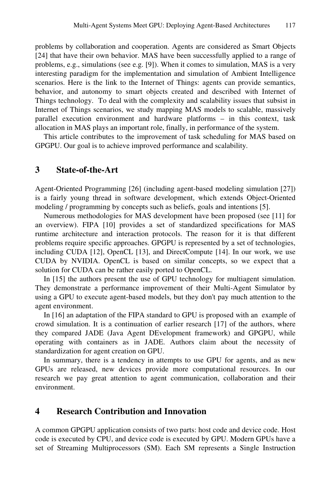problems by collaboration and cooperation. Agents are considered as Smart Objects [24] that have their own behavior. MAS have been successfully applied to a range of problems, e.g., simulations (see e.g. [9]). When it comes to simulation, MAS is a very interesting paradigm for the implementation and simulation of Ambient Intelligence scenarios. Here is the link to the Internet of Things: agents can provide semantics, behavior, and autonomy to smart objects created and described with Internet of Things technology. To deal with the complexity and scalability issues that subsist in Internet of Things scenarios, we study mapping MAS models to scalable, massively parallel execution environment and hardware platforms – in this context, task allocation in MAS plays an important role, finally, in performance of the system.

This article contributes to the improvement of task scheduling for MAS based on GPGPU. Our goal is to achieve improved performance and scalability.

#### **3 State-of-the-Art**

Agent-Oriented Programming [26] (including agent-based modeling simulation [27]) is a fairly young thread in software development, which extends Object-Oriented modeling / programming by concepts such as beliefs, goals and intentions [5].

Numerous methodologies for MAS development have been proposed (see [11] for an overview). FIPA [10] provides a set of standardized specifications for MAS runtime architecture and interaction protocols. The reason for it is that different problems require specific approaches. GPGPU is represented by a set of technologies, including CUDA [12], OpenCL [13], and DirectCompute [14]. In our work, we use CUDA by NVIDIA. OpenCL is based on similar concepts, so we expect that a solution for CUDA can be rather easily ported to OpenCL.

In [15] the authors present the use of GPU technology for multiagent simulation. They demonstrate a performance improvement of their Multi-Agent Simulator by using a GPU to execute agent-based models, but they don't pay much attention to the agent environment.

In [16] an adaptation of the FIPA standard to GPU is proposed with an example of crowd simulation. It is a continuation of earlier research [17] of the authors, where they compared JADE (Java Agent DEvelopment framework) and GPGPU, while operating with containers as in JADE. Authors claim about the necessity of standardization for agent creation on GPU.

In summary, there is a tendency in attempts to use GPU for agents, and as new GPUs are released, new devices provide more computational resources. In our research we pay great attention to agent communication, collaboration and their environment.

#### **4 Research Contribution and Innovation**

A common GPGPU application consists of two parts: host code and device code. Host code is executed by CPU, and device code is executed by GPU. Modern GPUs have a set of Streaming Multiprocessors (SM). Each SM represents a Single Instruction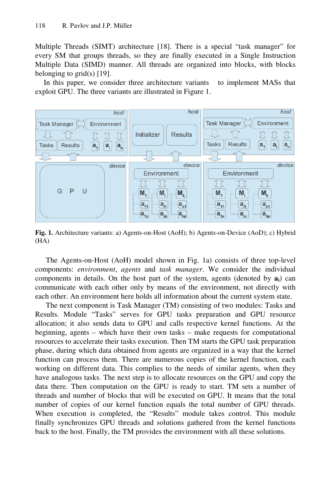Multiple Threads (SIMT) architecture [18]. There is a special "task manager" for every SM that groups threads, so they are finally executed in a Single Instruction Multiple Data (SIMD) manner. All threads are organized into blocks, with blocks belonging to grid(s)  $[19]$ .

In this paper, we consider three architecture variants to implement MASs that exploit GPU. The three variants are illustrated in Figure 1.



**Fig. 1.** Architecture variants: a) Agents-on-Host (AoH); b) Agents-on-Device (AoD); c) Hybrid (HA)

The Agents-on-Host (AoH) model shown in Fig. 1a) consists of three top-level components: *environment*, *agents* and *task manager*. We consider the individual components in details. On the host part of the system, agents (denoted by **ai**) can communicate with each other only by means of the environment, not directly with each other. An environment here holds all information about the current system state.

The next component is Task Manager (TM) consisting of two modules: Tasks and Results. Module "Tasks" serves for GPU tasks preparation and GPU resource allocation; it also sends data to GPU and calls respective kernel functions. At the beginning, agents – which have their own tasks – make requests for computational resources to accelerate their tasks execution. Then TM starts the GPU task preparation phase, during which data obtained from agents are organized in a way that the kernel function can process them. There are numerous copies of the kernel function, each working on different data. This complies to the needs of similar agents, when they have analogous tasks. The next step is to allocate resources on the GPU and copy the data there. Then computation on the GPU is ready to start. TM sets a number of threads and number of blocks that will be executed on GPU. It means that the total number of copies of our kernel function equals the total number of GPU threads. When execution is completed, the "Results" module takes control. This module finally synchronizes GPU threads and solutions gathered from the kernel functions back to the host. Finally, the TM provides the environment with all these solutions.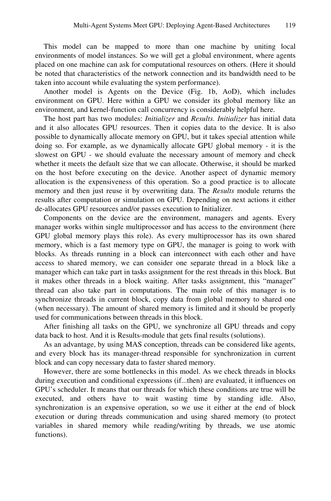This model can be mapped to more than one machine by uniting local environments of model instances. So we will get a global environment, where agents placed on one machine can ask for computational resources on others. (Here it should be noted that characteristics of the network connection and its bandwidth need to be taken into account while evaluating the system performance).

Another model is Agents on the Device (Fig. 1b, AoD), which includes environment on GPU. Here within a GPU we consider its global memory like an environment, and kernel-function call concurrency is considerably helpful here.

The host part has two modules: *Initializer* and *Results*. *Initializer* has initial data and it also allocates GPU resources. Then it copies data to the device. It is also possible to dynamically allocate memory on GPU, but it takes special attention while doing so. For example, as we dynamically allocate GPU global memory - it is the slowest on GPU - we should evaluate the necessary amount of memory and check whether it meets the default size that we can allocate. Otherwise, it should be marked on the host before executing on the device. Another aspect of dynamic memory allocation is the expensiveness of this operation. So a good practice is to allocate memory and then just reuse it by overwriting data. The *Results* module returns the results after computation or simulation on GPU. Depending on next actions it either de-allocates GPU resources and/or passes execution to Initializer.

Components on the device are the environment, managers and agents. Every manager works within single multiprocessor and has access to the environment (here GPU global memory plays this role). As every multiprocessor has its own shared memory, which is a fast memory type on GPU, the manager is going to work with blocks. As threads running in a block can interconnect with each other and have access to shared memory, we can consider one separate thread in a block like a manager which can take part in tasks assignment for the rest threads in this block. But it makes other threads in a block waiting. After tasks assignment, this "manager" thread can also take part in computations. The main role of this manager is to synchronize threads in current block, copy data from global memory to shared one (when necessary). The amount of shared memory is limited and it should be properly used for communications between threads in this block.

After finishing all tasks on the GPU, we synchronize all GPU threads and copy data back to host. And it is Results-module that gets final results (solutions).

As an advantage, by using MAS conception, threads can be considered like agents, and every block has its manager-thread responsible for synchronization in current block and can copy necessary data to faster shared memory.

However, there are some bottlenecks in this model. As we check threads in blocks during execution and conditional expressions (if...then) are evaluated, it influences on GPU's scheduler. It means that our threads for which these conditions are true will be executed, and others have to wait wasting time by standing idle. Also, synchronization is an expensive operation, so we use it either at the end of block execution or during threads communication and using shared memory (to protect variables in shared memory while reading/writing by threads, we use atomic functions).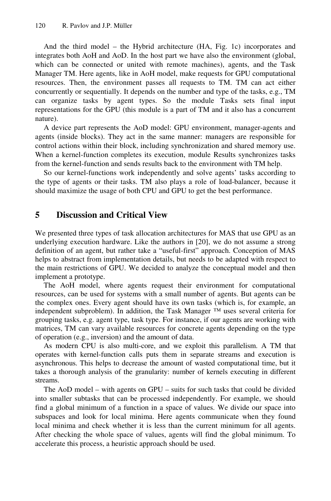And the third model – the Hybrid architecture (HA, Fig. 1c) incorporates and integrates both AoH and AoD. In the host part we have also the environment (global, which can be connected or united with remote machines), agents, and the Task Manager TM. Here agents, like in AoH model, make requests for GPU computational resources. Then, the environment passes all requests to TM. TM can act either concurrently or sequentially. It depends on the number and type of the tasks, e.g., TM can organize tasks by agent types. So the module Tasks sets final input representations for the GPU (this module is a part of TM and it also has a concurrent nature).

A device part represents the AoD model: GPU environment, manager-agents and agents (inside blocks). They act in the same manner: managers are responsible for control actions within their block, including synchronization and shared memory use. When a kernel-function completes its execution, module Results synchronizes tasks from the kernel-function and sends results back to the environment with TM help.

So our kernel-functions work independently and solve agents' tasks according to the type of agents or their tasks. TM also plays a role of load-balancer, because it should maximize the usage of both CPU and GPU to get the best performance.

## **5 Discussion and Critical View**

We presented three types of task allocation architectures for MAS that use GPU as an underlying execution hardware. Like the authors in [20], we do not assume a strong definition of an agent, but rather take a "useful-first" approach. Conception of MAS helps to abstract from implementation details, but needs to be adapted with respect to the main restrictions of GPU. We decided to analyze the conceptual model and then implement a prototype.

The AoH model, where agents request their environment for computational resources, can be used for systems with a small number of agents. But agents can be the complex ones. Every agent should have its own tasks (which is, for example, an independent subproblem). In addition, the Task Manager  $TM$  uses several criteria for grouping tasks, e.g. agent type, task type. For instance, if our agents are working with matrices, TM can vary available resources for concrete agents depending on the type of operation (e.g., inversion) and the amount of data.

As modern CPU is also multi-core, and we exploit this parallelism. A TM that operates with kernel-function calls puts them in separate streams and execution is asynchronous. This helps to decrease the amount of wasted computational time, but it takes a thorough analysis of the granularity: number of kernels executing in different streams.

The AoD model – with agents on GPU – suits for such tasks that could be divided into smaller subtasks that can be processed independently. For example, we should find a global minimum of a function in a space of values. We divide our space into subspaces and look for local minima. Here agents communicate when they found local minima and check whether it is less than the current minimum for all agents. After checking the whole space of values, agents will find the global minimum. To accelerate this process, a heuristic approach should be used.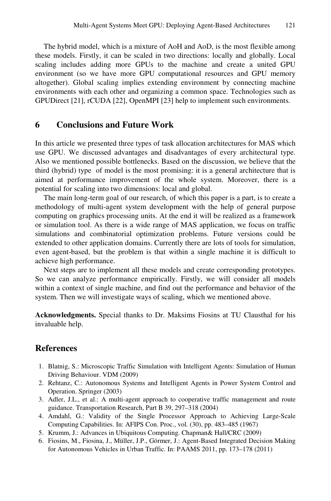The hybrid model, which is a mixture of AoH and AoD, is the most flexible among these models. Firstly, it can be scaled in two directions: locally and globally. Local scaling includes adding more GPUs to the machine and create a united GPU environment (so we have more GPU computational resources and GPU memory altogether). Global scaling implies extending environment by connecting machine environments with each other and organizing a common space. Technologies such as GPUDirect [21], rCUDA [22], OpenMPI [23] help to implement such environments.

## **6 Conclusions and Future Work**

In this article we presented three types of task allocation architectures for MAS which use GPU. We discussed advantages and disadvantages of every architectural type. Also we mentioned possible bottlenecks. Based on the discussion, we believe that the third (hybrid) type of model is the most promising: it is a general architecture that is aimed at performance improvement of the whole system. Moreover, there is a potential for scaling into two dimensions: local and global.

The main long-term goal of our research, of which this paper is a part, is to create a methodology of multi-agent system development with the help of general purpose computing on graphics processing units. At the end it will be realized as a framework or simulation tool. As there is a wide range of MAS application, we focus on traffic simulations and combinatorial optimization problems. Future versions could be extended to other application domains. Currently there are lots of tools for simulation, even agent-based, but the problem is that within a single machine it is difficult to achieve high performance.

Next steps are to implement all these models and create corresponding prototypes. So we can analyze performance empirically. Firstly, we will consider all models within a context of single machine, and find out the performance and behavior of the system. Then we will investigate ways of scaling, which we mentioned above.

**Acknowledgments.** Special thanks to Dr. Maksims Fiosins at TU Clausthal for his invaluable help.

# **References**

- 1. Blatnig, S.: Microscopic Traffic Simulation with Intelligent Agents: Simulation of Human Driving Behaviour. VDM (2009)
- 2. Rehtanz, C.: Autonomous Systems and Intelligent Agents in Power System Control and Operation. Springer (2003)
- 3. Adler, J.L., et al.: A multi-agent approach to cooperative traffic management and route guidance. Transportation Research, Part B 39, 297–318 (2004)
- 4. Amdahl, G.: Validity of the Single Processor Approach to Achieving Large-Scale Computing Capabilities. In: AFIPS Con. Proc., vol. (30), pp. 483–485 (1967)
- 5. Krumm, J.: Advances in Ubiquitous Computing. Chapman& Hall/CRC (2009)
- 6. Fiosins, M., Fiosina, J., Müller, J.P., Görmer, J.: Agent-Based Integrated Decision Making for Autonomous Vehicles in Urban Traffic. In: PAAMS 2011, pp. 173–178 (2011)